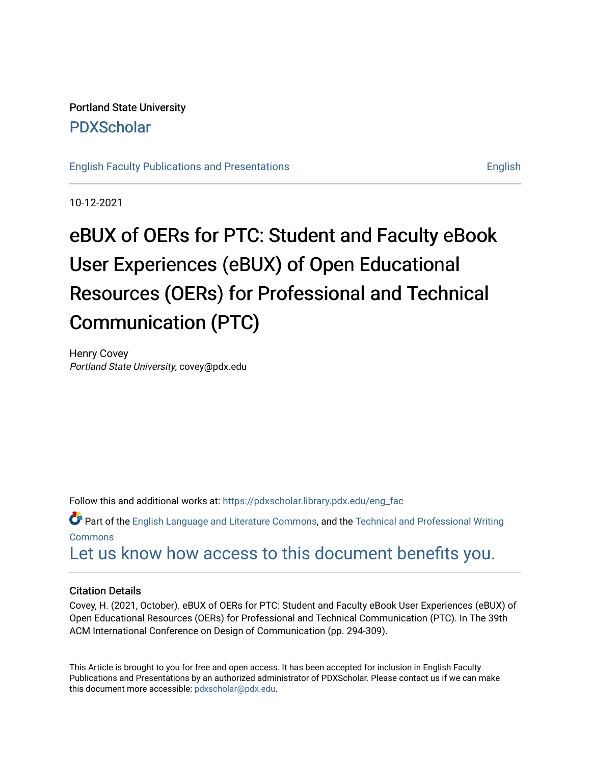# Portland State University [PDXScholar](https://pdxscholar.library.pdx.edu/)

[English Faculty Publications and Presentations](https://pdxscholar.library.pdx.edu/eng_fac) [English](https://pdxscholar.library.pdx.edu/eng) English

10-12-2021

# eBUX of OERs for PTC: Student and Faculty eBook User Experiences (eBUX) of Open Educational Resources (OERs) for Professional and Technical Communication (PTC)

Henry Covey Portland State University, covey@pdx.edu

Follow this and additional works at: [https://pdxscholar.library.pdx.edu/eng\\_fac](https://pdxscholar.library.pdx.edu/eng_fac?utm_source=pdxscholar.library.pdx.edu%2Feng_fac%2F113&utm_medium=PDF&utm_campaign=PDFCoverPages)

 $\bullet$  Part of the [English Language and Literature Commons](http://network.bepress.com/hgg/discipline/455?utm_source=pdxscholar.library.pdx.edu%2Feng_fac%2F113&utm_medium=PDF&utm_campaign=PDFCoverPages), and the [Technical and Professional Writing](http://network.bepress.com/hgg/discipline/1347?utm_source=pdxscholar.library.pdx.edu%2Feng_fac%2F113&utm_medium=PDF&utm_campaign=PDFCoverPages) [Commons](http://network.bepress.com/hgg/discipline/1347?utm_source=pdxscholar.library.pdx.edu%2Feng_fac%2F113&utm_medium=PDF&utm_campaign=PDFCoverPages)

[Let us know how access to this document benefits you.](http://library.pdx.edu/services/pdxscholar-services/pdxscholar-feedback/?ref=https://pdxscholar.library.pdx.edu/eng_fac/113) 

# Citation Details

Covey, H. (2021, October). eBUX of OERs for PTC: Student and Faculty eBook User Experiences (eBUX) of Open Educational Resources (OERs) for Professional and Technical Communication (PTC). In The 39th ACM International Conference on Design of Communication (pp. 294-309).

This Article is brought to you for free and open access. It has been accepted for inclusion in English Faculty Publications and Presentations by an authorized administrator of PDXScholar. Please contact us if we can make this document more accessible: [pdxscholar@pdx.edu.](mailto:pdxscholar@pdx.edu)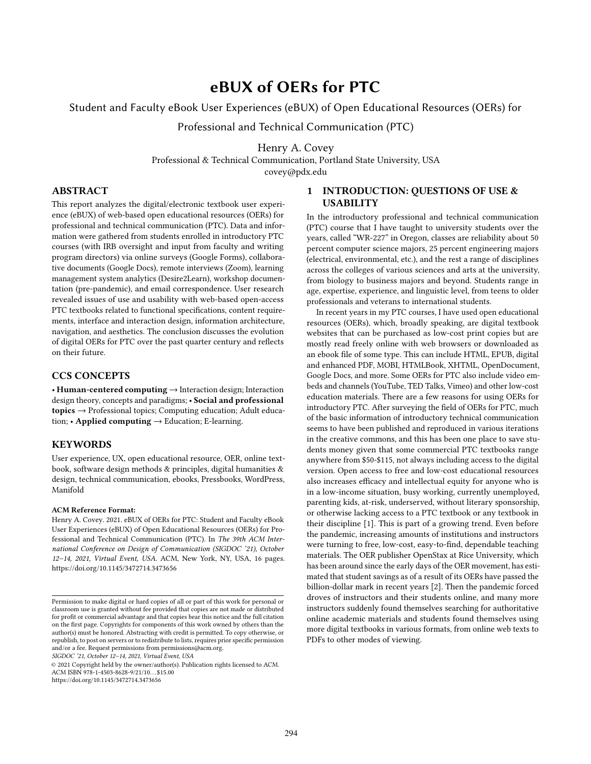# eBUX of OERs for PTC

# Student and Faculty eBook User Experiences (eBUX) of Open Educational Resources (OERs) for

Professional and Technical Communication (PTC)

Henry A. Covey

Professional & Technical Communication, Portland State University, USA

covey@pdx.edu

## ABSTRACT

This report analyzes the digital/electronic textbook user experience (eBUX) of web-based open educational resources (OERs) for professional and technical communication (PTC). Data and information were gathered from students enrolled in introductory PTC courses (with IRB oversight and input from faculty and writing program directors) via online surveys (Google Forms), collaborative documents (Google Docs), remote interviews (Zoom), learning management system analytics (Desire2Learn), workshop documentation (pre-pandemic), and email correspondence. User research revealed issues of use and usability with web-based open-access PTC textbooks related to functional specifications, content requirements, interface and interaction design, information architecture, navigation, and aesthetics. The conclusion discusses the evolution of digital OERs for PTC over the past quarter century and reflects on their future.

# CCS CONCEPTS

• Human-centered computing → Interaction design; Interaction design theory, concepts and paradigms; • Social and professional topics → Professional topics; Computing education; Adult education; • Applied computing  $\rightarrow$  Education; E-learning.

# **KEYWORDS**

User experience, UX, open educational resource, OER, online textbook, software design methods & principles, digital humanities & design, technical communication, ebooks, Pressbooks, WordPress, Manifold

#### ACM Reference Format:

Henry A. Covey. 2021. eBUX of OERs for PTC: Student and Faculty eBook User Experiences (eBUX) of Open Educational Resources (OERs) for Professional and Technical Communication (PTC). In The 39th ACM International Conference on Design of Communication (SIGDOC '21), October 12–14, 2021, Virtual Event, USA. ACM, New York, NY, USA, [16](#page-16-0) pages. <https://doi.org/10.1145/3472714.3473656>

SIGDOC '21, October 12–14, 2021, Virtual Event, USA

© 2021 Copyright held by the owner/author(s). Publication rights licensed to ACM. ACM ISBN 978-1-4503-8628-9/21/10. . . \$15.00 <https://doi.org/10.1145/3472714.3473656>

1 INTRODUCTION: QUESTIONS OF USE & **USABILITY** 

In the introductory professional and technical communication (PTC) course that I have taught to university students over the years, called "WR-227" in Oregon, classes are reliability about 50 percent computer science majors, 25 percent engineering majors (electrical, environmental, etc.), and the rest a range of disciplines across the colleges of various sciences and arts at the university, from biology to business majors and beyond. Students range in age, expertise, experience, and linguistic level, from teens to older professionals and veterans to international students.

In recent years in my PTC courses, I have used open educational resources (OERs), which, broadly speaking, are digital textbook websites that can be purchased as low-cost print copies but are mostly read freely online with web browsers or downloaded as an ebook file of some type. This can include HTML, EPUB, digital and enhanced PDF, MOBI, HTMLBook, XHTML, OpenDocument, Google Docs, and more. Some OERs for PTC also include video embeds and channels (YouTube, TED Talks, Vimeo) and other low-cost education materials. There are a few reasons for using OERs for introductory PTC. After surveying the field of OERs for PTC, much of the basic information of introductory technical communication seems to have been published and reproduced in various iterations in the creative commons, and this has been one place to save students money given that some commercial PTC textbooks range anywhere from \$50-\$115, not always including access to the digital version. Open access to free and low-cost educational resources also increases efficacy and intellectual equity for anyone who is in a low-income situation, busy working, currently unemployed, parenting kids, at-risk, underserved, without literary sponsorship, or otherwise lacking access to a PTC textbook or any textbook in their discipline [\[1\]](#page-16-1). This is part of a growing trend. Even before the pandemic, increasing amounts of institutions and instructors were turning to free, low-cost, easy-to-find, dependable teaching materials. The OER publisher OpenStax at Rice University, which has been around since the early days of the OER movement, has estimated that student savings as of a result of its OERs have passed the billion-dollar mark in recent years [\[2\]](#page-16-2). Then the pandemic forced droves of instructors and their students online, and many more instructors suddenly found themselves searching for authoritative online academic materials and students found themselves using more digital textbooks in various formats, from online web texts to PDFs to other modes of viewing.

Permission to make digital or hard copies of all or part of this work for personal or classroom use is granted without fee provided that copies are not made or distributed for profit or commercial advantage and that copies bear this notice and the full citation on the first page. Copyrights for components of this work owned by others than the author(s) must be honored. Abstracting with credit is permitted. To copy otherwise, or republish, to post on servers or to redistribute to lists, requires prior specific permission and/or a fee. Request permissions from permissions@acm.org.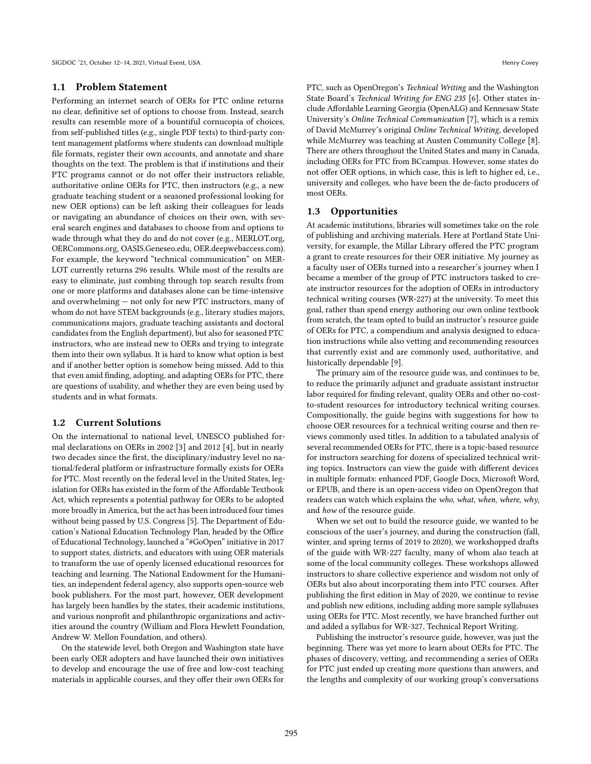#### 1.1 Problem Statement

Performing an internet search of OERs for PTC online returns no clear, definitive set of options to choose from. Instead, search results can resemble more of a bountiful cornucopia of choices, from self-published titles (e.g., single PDF texts) to third-party content management platforms where students can download multiple file formats, register their own accounts, and annotate and share thoughts on the text. The problem is that if institutions and their PTC programs cannot or do not offer their instructors reliable, authoritative online OERs for PTC, then instructors (e.g., a new graduate teaching student or a seasoned professional looking for new OER options) can be left asking their colleagues for leads or navigating an abundance of choices on their own, with several search engines and databases to choose from and options to wade through what they do and do not cover (e.g., MERLOT.org, OERCommons.org, OASIS.Geneseo.edu, OER.deepwebaccess.com). For example, the keyword "technical communication" on MER-LOT currently returns 296 results. While most of the results are easy to eliminate, just combing through top search results from one or more platforms and databases alone can be time-intensive and overwhelming — not only for new PTC instructors, many of whom do not have STEM backgrounds (e.g., literary studies majors, communications majors, graduate teaching assistants and doctoral candidates from the English department), but also for seasoned PTC instructors, who are instead new to OERs and trying to integrate them into their own syllabus. It is hard to know what option is best and if another better option is somehow being missed. Add to this that even amid finding, adopting, and adapting OERs for PTC, there are questions of usability, and whether they are even being used by students and in what formats.

#### 1.2 Current Solutions

On the international to national level, UNESCO published formal declarations on OERs in 2002 [\[3\]](#page-16-3) and 2012 [\[4\]](#page-16-4), but in nearly two decades since the first, the disciplinary/industry level no national/federal platform or infrastructure formally exists for OERs for PTC. Most recently on the federal level in the United States, legislation for OERs has existed in the form of the Affordable Textbook Act, which represents a potential pathway for OERs to be adopted more broadly in America, but the act has been introduced four times without being passed by U.S. Congress [\[5\]](#page-16-5). The Department of Education's National Education Technology Plan, headed by the Office of Educational Technology, launched a "#GoOpen" initiative in 2017 to support states, districts, and educators with using OER materials to transform the use of openly licensed educational resources for teaching and learning. The National Endowment for the Humanities, an independent federal agency, also supports open-source web book publishers. For the most part, however, OER development has largely been handles by the states, their academic institutions, and various nonprofit and philanthropic organizations and activities around the country (William and Flora Hewlett Foundation, Andrew W. Mellon Foundation, and others).

On the statewide level, both Oregon and Washington state have been early OER adopters and have launched their own initiatives to develop and encourage the use of free and low-cost teaching materials in applicable courses, and they offer their own OERs for

PTC, such as OpenOregon's Technical Writing and the Washington State Board's Technical Writing for ENG 235 [\[6\]](#page-16-6). Other states include Affordable Learning Georgia (OpenALG) and Kennesaw State University's Online Technical Communication [\[7\]](#page-16-7), which is a remix of David McMurrey's original Online Technical Writing, developed while McMurrey was teaching at Austen Community College [\[8\]](#page-16-8). There are others throughout the United States and many in Canada, including OERs for PTC from BCcampus. However, some states do not offer OER options, in which case, this is left to higher ed, i.e., university and colleges, who have been the de-facto producers of most OERs.

#### 1.3 Opportunities

At academic institutions, libraries will sometimes take on the role of publishing and archiving materials. Here at Portland State University, for example, the Millar Library offered the PTC program a grant to create resources for their OER initiative. My journey as a faculty user of OERs turned into a researcher's journey when I became a member of the group of PTC instructors tasked to create instructor resources for the adoption of OERs in introductory technical writing courses (WR-227) at the university. To meet this goal, rather than spend energy authoring our own online textbook from scratch, the team opted to build an instructor's resource guide of OERs for PTC, a compendium and analysis designed to education instructions while also vetting and recommending resources that currently exist and are commonly used, authoritative, and historically dependable [\[9\]](#page-16-9).

The primary aim of the resource guide was, and continues to be, to reduce the primarily adjunct and graduate assistant instructor labor required for finding relevant, quality OERs and other no-costto-student resources for introductory technical writing courses. Compositionally, the guide begins with suggestions for how to choose OER resources for a technical writing course and then reviews commonly used titles. In addition to a tabulated analysis of several recommended OERs for PTC, there is a topic-based resource for instructors searching for dozens of specialized technical writing topics. Instructors can view the guide with different devices in multiple formats: enhanced PDF, Google Docs, Microsoft Word, or EPUB, and there is an open-access video on OpenOregon that readers can watch which explains the who, what, when, where, why, and how of the resource guide.

When we set out to build the resource guide, we wanted to be conscious of the user's journey, and during the construction (fall, winter, and spring terms of 2019 to 2020), we workshopped drafts of the guide with WR-227 faculty, many of whom also teach at some of the local community colleges. These workshops allowed instructors to share collective experience and wisdom not only of OERs but also about incorporating them into PTC courses. After publishing the first edition in May of 2020, we continue to revise and publish new editions, including adding more sample syllabuses using OERs for PTC. Most recently, we have branched further out and added a syllabus for WR-327, Technical Report Writing.

Publishing the instructor's resource guide, however, was just the beginning. There was yet more to learn about OERs for PTC. The phases of discovery, vetting, and recommending a series of OERs for PTC just ended up creating more questions than answers, and the lengths and complexity of our working group's conversations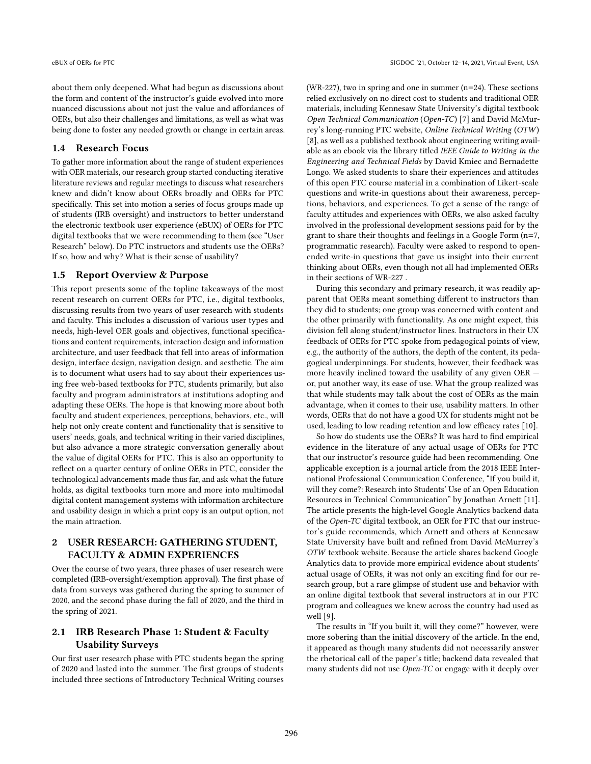about them only deepened. What had begun as discussions about the form and content of the instructor's guide evolved into more nuanced discussions about not just the value and affordances of OERs, but also their challenges and limitations, as well as what was being done to foster any needed growth or change in certain areas.

#### 1.4 Research Focus

To gather more information about the range of student experiences with OER materials, our research group started conducting iterative literature reviews and regular meetings to discuss what researchers knew and didn't know about OERs broadly and OERs for PTC specifically. This set into motion a series of focus groups made up of students (IRB oversight) and instructors to better understand the electronic textbook user experience (eBUX) of OERs for PTC digital textbooks that we were recommending to them (see "User Research" below). Do PTC instructors and students use the OERs? If so, how and why? What is their sense of usability?

# 1.5 Report Overview & Purpose

This report presents some of the topline takeaways of the most recent research on current OERs for PTC, i.e., digital textbooks, discussing results from two years of user research with students and faculty. This includes a discussion of various user types and needs, high-level OER goals and objectives, functional specifications and content requirements, interaction design and information architecture, and user feedback that fell into areas of information design, interface design, navigation design, and aesthetic. The aim is to document what users had to say about their experiences using free web-based textbooks for PTC, students primarily, but also faculty and program administrators at institutions adopting and adapting these OERs. The hope is that knowing more about both faculty and student experiences, perceptions, behaviors, etc., will help not only create content and functionality that is sensitive to users' needs, goals, and technical writing in their varied disciplines, but also advance a more strategic conversation generally about the value of digital OERs for PTC. This is also an opportunity to reflect on a quarter century of online OERs in PTC, consider the technological advancements made thus far, and ask what the future holds, as digital textbooks turn more and more into multimodal digital content management systems with information architecture and usability design in which a print copy is an output option, not the main attraction.

# 2 USER RESEARCH: GATHERING STUDENT, FACULTY & ADMIN EXPERIENCES

Over the course of two years, three phases of user research were completed (IRB-oversight/exemption approval). The first phase of data from surveys was gathered during the spring to summer of 2020, and the second phase during the fall of 2020, and the third in the spring of 2021.

# 2.1 IRB Research Phase 1: Student & Faculty Usability Surveys

Our first user research phase with PTC students began the spring of 2020 and lasted into the summer. The first groups of students included three sections of Introductory Technical Writing courses

(WR-227), two in spring and one in summer (n=24). These sections relied exclusively on no direct cost to students and traditional OER materials, including Kennesaw State University's digital textbook Open Technical Communication (Open-TC) [\[7\]](#page-16-7) and David McMurrey's long-running PTC website, Online Technical Writing (OTW) [\[8\]](#page-16-8), as well as a published textbook about engineering writing available as an ebook via the library titled IEEE Guide to Writing in the Engineering and Technical Fields by David Kmiec and Bernadette Longo. We asked students to share their experiences and attitudes of this open PTC course material in a combination of Likert-scale questions and write-in questions about their awareness, perceptions, behaviors, and experiences. To get a sense of the range of faculty attitudes and experiences with OERs, we also asked faculty involved in the professional development sessions paid for by the grant to share their thoughts and feelings in a Google Form (n=7, programmatic research). Faculty were asked to respond to openended write-in questions that gave us insight into their current thinking about OERs, even though not all had implemented OERs in their sections of WR-227 .

During this secondary and primary research, it was readily apparent that OERs meant something different to instructors than they did to students; one group was concerned with content and the other primarily with functionality. As one might expect, this division fell along student/instructor lines. Instructors in their UX feedback of OERs for PTC spoke from pedagogical points of view, e.g., the authority of the authors, the depth of the content, its pedagogical underpinnings. For students, however, their feedback was more heavily inclined toward the usability of any given OER or, put another way, its ease of use. What the group realized was that while students may talk about the cost of OERs as the main advantage, when it comes to their use, usability matters. In other words, OERs that do not have a good UX for students might not be used, leading to low reading retention and low efficacy rates [\[10\]](#page-16-10).

So how do students use the OERs? It was hard to find empirical evidence in the literature of any actual usage of OERs for PTC that our instructor's resource guide had been recommending. One applicable exception is a journal article from the 2018 IEEE International Professional Communication Conference, "If you build it, will they come?: Research into Students' Use of an Open Education Resources in Technical Communication" by Jonathan Arnett [\[11\]](#page-16-11). The article presents the high-level Google Analytics backend data of the Open-TC digital textbook, an OER for PTC that our instructor's guide recommends, which Arnett and others at Kennesaw State University have built and refined from David McMurrey's OTW textbook website. Because the article shares backend Google Analytics data to provide more empirical evidence about students' actual usage of OERs, it was not only an exciting find for our research group, but a rare glimpse of student use and behavior with an online digital textbook that several instructors at in our PTC program and colleagues we knew across the country had used as well [\[9\]](#page-16-9).

The results in "If you built it, will they come?" however, were more sobering than the initial discovery of the article. In the end, it appeared as though many students did not necessarily answer the rhetorical call of the paper's title; backend data revealed that many students did not use Open-TC or engage with it deeply over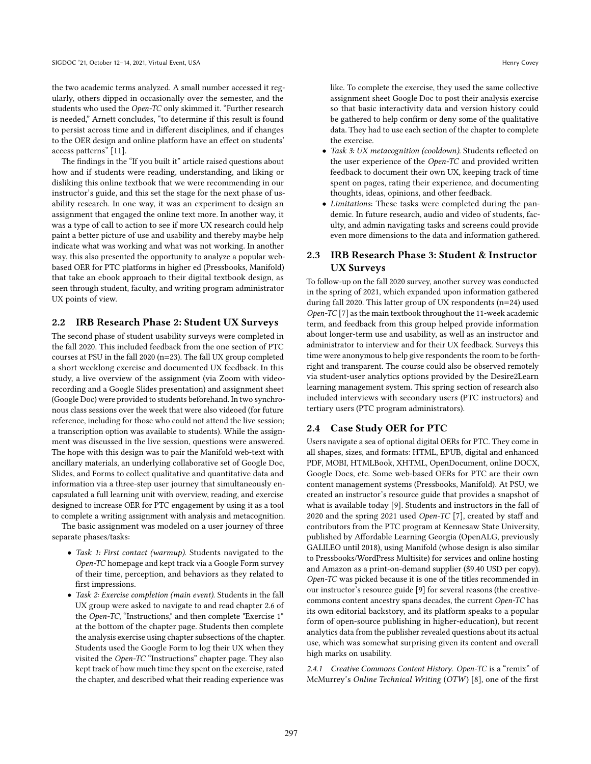the two academic terms analyzed. A small number accessed it regularly, others dipped in occasionally over the semester, and the students who used the Open-TC only skimmed it. "Further research is needed," Arnett concludes, "to determine if this result is found to persist across time and in different disciplines, and if changes to the OER design and online platform have an effect on students' access patterns" [\[11\]](#page-16-11).

The findings in the "If you built it" article raised questions about how and if students were reading, understanding, and liking or disliking this online textbook that we were recommending in our instructor's guide, and this set the stage for the next phase of usability research. In one way, it was an experiment to design an assignment that engaged the online text more. In another way, it was a type of call to action to see if more UX research could help paint a better picture of use and usability and thereby maybe help indicate what was working and what was not working. In another way, this also presented the opportunity to analyze a popular webbased OER for PTC platforms in higher ed (Pressbooks, Manifold) that take an ebook approach to their digital textbook design, as seen through student, faculty, and writing program administrator UX points of view.

#### 2.2 IRB Research Phase 2: Student UX Surveys

The second phase of student usability surveys were completed in the fall 2020. This included feedback from the one section of PTC courses at PSU in the fall 2020 (n=23). The fall UX group completed a short weeklong exercise and documented UX feedback. In this study, a live overview of the assignment (via Zoom with videorecording and a Google Slides presentation) and assignment sheet (Google Doc) were provided to students beforehand. In two synchronous class sessions over the week that were also videoed (for future reference, including for those who could not attend the live session; a transcription option was available to students). While the assignment was discussed in the live session, questions were answered. The hope with this design was to pair the Manifold web-text with ancillary materials, an underlying collaborative set of Google Doc, Slides, and Forms to collect qualitative and quantitative data and information via a three-step user journey that simultaneously encapsulated a full learning unit with overview, reading, and exercise designed to increase OER for PTC engagement by using it as a tool to complete a writing assignment with analysis and metacognition. The basic assignment was modeled on a user journey of three

separate phases/tasks:

- Task 1: First contact (warmup). Students navigated to the Open-TC homepage and kept track via a Google Form survey of their time, perception, and behaviors as they related to first impressions.
- Task 2: Exercise completion (main event). Students in the fall UX group were asked to navigate to and read chapter 2.6 of the Open-TC, "Instructions," and then complete "Exercise 1" at the bottom of the chapter page. Students then complete the analysis exercise using chapter subsections of the chapter. Students used the Google Form to log their UX when they visited the Open-TC "Instructions" chapter page. They also kept track of how much time they spent on the exercise, rated the chapter, and described what their reading experience was

like. To complete the exercise, they used the same collective assignment sheet Google Doc to post their analysis exercise so that basic interactivity data and version history could be gathered to help confirm or deny some of the qualitative data. They had to use each section of the chapter to complete the exercise.

- Task 3: UX metacognition (cooldown). Students reflected on the user experience of the *Open-TC* and provided written feedback to document their own UX, keeping track of time spent on pages, rating their experience, and documenting thoughts, ideas, opinions, and other feedback.
- Limitations: These tasks were completed during the pandemic. In future research, audio and video of students, faculty, and admin navigating tasks and screens could provide even more dimensions to the data and information gathered.

# 2.3 IRB Research Phase 3: Student & Instructor UX Surveys

To follow-up on the fall 2020 survey, another survey was conducted in the spring of 2021, which expanded upon information gathered during fall 2020. This latter group of UX respondents (n=24) used Open-TC [\[7\]](#page-16-7) as the main textbook throughout the 11-week academic term, and feedback from this group helped provide information about longer-term use and usability, as well as an instructor and administrator to interview and for their UX feedback. Surveys this time were anonymous to help give respondents the room to be forthright and transparent. The course could also be observed remotely via student-user analytics options provided by the Desire2Learn learning management system. This spring section of research also included interviews with secondary users (PTC instructors) and tertiary users (PTC program administrators).

#### 2.4 Case Study OER for PTC

Users navigate a sea of optional digital OERs for PTC. They come in all shapes, sizes, and formats: HTML, EPUB, digital and enhanced PDF, MOBI, HTMLBook, XHTML, OpenDocument, online DOCX, Google Docs, etc. Some web-based OERs for PTC are their own content management systems (Pressbooks, Manifold). At PSU, we created an instructor's resource guide that provides a snapshot of what is available today [\[9\]](#page-16-9). Students and instructors in the fall of 2020 and the spring 2021 used Open-TC [\[7\]](#page-16-7), created by staff and contributors from the PTC program at Kennesaw State University, published by Affordable Learning Georgia (OpenALG, previously GALILEO until 2018), using Manifold (whose design is also similar to Pressbooks/WordPress Multisite) for services and online hosting and Amazon as a print-on-demand supplier (\$9.40 USD per copy). Open-TC was picked because it is one of the titles recommended in our instructor's resource guide [\[9\]](#page-16-9) for several reasons (the creativecommons content ancestry spans decades, the current Open-TC has its own editorial backstory, and its platform speaks to a popular form of open-source publishing in higher-education), but recent analytics data from the publisher revealed questions about its actual use, which was somewhat surprising given its content and overall high marks on usability.

2.4.1 Creative Commons Content History. Open-TC is a "remix" of McMurrey's Online Technical Writing (OTW) [\[8\]](#page-16-8), one of the first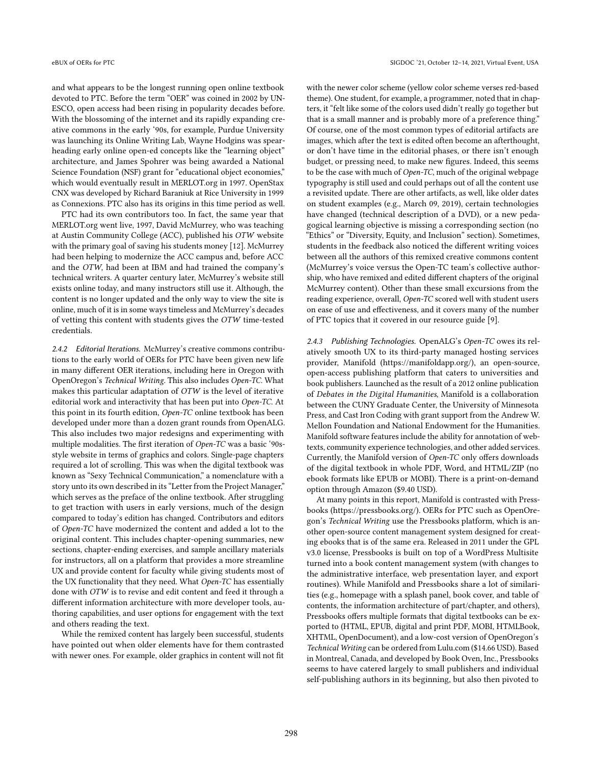and what appears to be the longest running open online textbook devoted to PTC. Before the term "OER" was coined in 2002 by UN-ESCO, open access had been rising in popularity decades before. With the blossoming of the internet and its rapidly expanding creative commons in the early '90s, for example, Purdue University was launching its Online Writing Lab, Wayne Hodgins was spearheading early online open-ed concepts like the "learning object" architecture, and James Spohrer was being awarded a National Science Foundation (NSF) grant for "educational object economies," which would eventually result in MERLOT.org in 1997. OpenStax CNX was developed by Richard Baraniuk at Rice University in 1999 as Connexions. PTC also has its origins in this time period as well.

PTC had its own contributors too. In fact, the same year that MERLOT.org went live, 1997, David McMurrey, who was teaching at Austin Community College (ACC), published his OTW website with the primary goal of saving his students money [\[12\]](#page-16-12). McMurrey had been helping to modernize the ACC campus and, before ACC and the OTW, had been at IBM and had trained the company's technical writers. A quarter century later, McMurrey's website still exists online today, and many instructors still use it. Although, the content is no longer updated and the only way to view the site is online, much of it is in some ways timeless and McMurrey's decades of vetting this content with students gives the OTW time-tested credentials.

2.4.2 Editorial Iterations. McMurrey's creative commons contributions to the early world of OERs for PTC have been given new life in many different OER iterations, including here in Oregon with OpenOregon's Technical Writing. This also includes Open-TC. What makes this particular adaptation of OTW is the level of iterative editorial work and interactivity that has been put into Open-TC. At this point in its fourth edition, Open-TC online textbook has been developed under more than a dozen grant rounds from OpenALG. This also includes two major redesigns and experimenting with multiple modalities. The first iteration of Open-TC was a basic '90sstyle website in terms of graphics and colors. Single-page chapters required a lot of scrolling. This was when the digital textbook was known as "Sexy Technical Communication," a nomenclature with a story unto its own described in its "Letter from the Project Manager," which serves as the preface of the online textbook. After struggling to get traction with users in early versions, much of the design compared to today's edition has changed. Contributors and editors of Open-TC have modernized the content and added a lot to the original content. This includes chapter-opening summaries, new sections, chapter-ending exercises, and sample ancillary materials for instructors, all on a platform that provides a more streamline UX and provide content for faculty while giving students most of the UX functionality that they need. What Open-TC has essentially done with OTW is to revise and edit content and feed it through a different information architecture with more developer tools, authoring capabilities, and user options for engagement with the text and others reading the text.

While the remixed content has largely been successful, students have pointed out when older elements have for them contrasted with newer ones. For example, older graphics in content will not fit with the newer color scheme (yellow color scheme verses red-based theme). One student, for example, a programmer, noted that in chapters, it "felt like some of the colors used didn't really go together but that is a small manner and is probably more of a preference thing." Of course, one of the most common types of editorial artifacts are images, which after the text is edited often become an afterthought, or don't have time in the editorial phases, or there isn't enough budget, or pressing need, to make new figures. Indeed, this seems to be the case with much of Open-TC, much of the original webpage typography is still used and could perhaps out of all the content use a revisited update. There are other artifacts, as well, like older dates on student examples (e.g., March 09, 2019), certain technologies have changed (technical description of a DVD), or a new pedagogical learning objective is missing a corresponding section (no "Ethics" or "Diversity, Equity, and Inclusion" section). Sometimes, students in the feedback also noticed the different writing voices between all the authors of this remixed creative commons content (McMurrey's voice versus the Open-TC team's collective authorship, who have remixed and edited different chapters of the original McMurrey content). Other than these small excursions from the reading experience, overall, Open-TC scored well with student users on ease of use and effectiveness, and it covers many of the number of PTC topics that it covered in our resource guide [\[9\]](#page-16-9).

2.4.3 Publishing Technologies. OpenALG's Open-TC owes its relatively smooth UX to its third-party managed hosting services provider, Manifold [\(https://manifoldapp.org/\),](https://manifoldapp.org/)) an open-source, open-access publishing platform that caters to universities and book publishers. Launched as the result of a 2012 online publication of Debates in the Digital Humanities, Manifold is a collaboration between the CUNY Graduate Center, the University of Minnesota Press, and Cast Iron Coding with grant support from the Andrew W. Mellon Foundation and National Endowment for the Humanities. Manifold software features include the ability for annotation of webtexts, community experience technologies, and other added services. Currently, the Manifold version of Open-TC only offers downloads of the digital textbook in whole PDF, Word, and HTML/ZIP (no ebook formats like EPUB or MOBI). There is a print-on-demand option through Amazon (\$9.40 USD).

At many points in this report, Manifold is contrasted with Pressbooks [\(https://pressbooks.org/\).](https://pressbooks.org/)) OERs for PTC such as OpenOregon's Technical Writing use the Pressbooks platform, which is another open-source content management system designed for creating ebooks that is of the same era. Released in 2011 under the GPL v3.0 license, Pressbooks is built on top of a WordPress Multisite turned into a book content management system (with changes to the administrative interface, web presentation layer, and export routines). While Manifold and Pressbooks share a lot of similarities (e.g., homepage with a splash panel, book cover, and table of contents, the information architecture of part/chapter, and others), Pressbooks offers multiple formats that digital textbooks can be exported to (HTML, EPUB, digital and print PDF, MOBI, HTMLBook, XHTML, OpenDocument), and a low-cost version of OpenOregon's Technical Writing can be ordered from Lulu.com (\$14.66 USD). Based in Montreal, Canada, and developed by Book Oven, Inc., Pressbooks seems to have catered largely to small publishers and individual self-publishing authors in its beginning, but also then pivoted to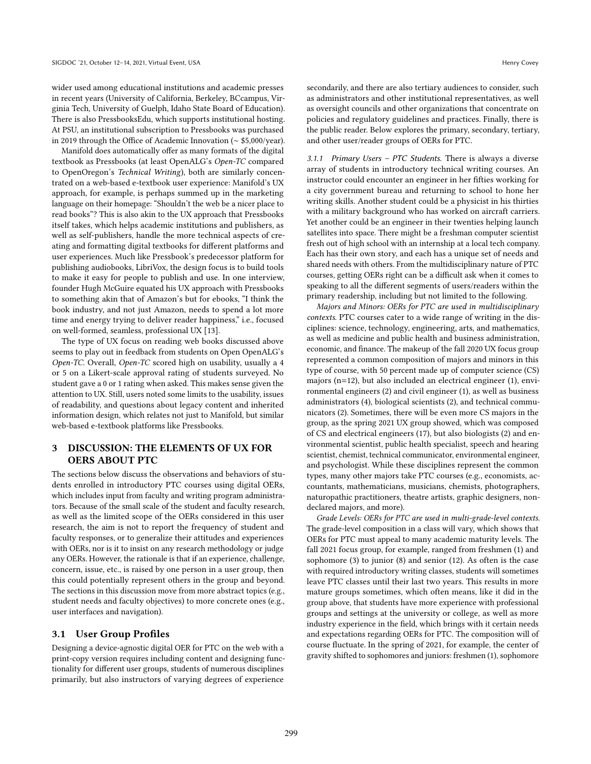wider used among educational institutions and academic presses in recent years (University of California, Berkeley, BCcampus, Virginia Tech, University of Guelph, Idaho State Board of Education). There is also PressbooksEdu, which supports institutional hosting. At PSU, an institutional subscription to Pressbooks was purchased in 2019 through the Office of Academic Innovation (∼ \$5,000/year).

Manifold does automatically offer as many formats of the digital textbook as Pressbooks (at least OpenALG's Open-TC compared to OpenOregon's Technical Writing), both are similarly concentrated on a web-based e-textbook user experience: Manifold's UX approach, for example, is perhaps summed up in the marketing language on their homepage: "Shouldn't the web be a nicer place to read books"? This is also akin to the UX approach that Pressbooks itself takes, which helps academic institutions and publishers, as well as self-publishers, handle the more technical aspects of creating and formatting digital textbooks for different platforms and user experiences. Much like Pressbook's predecessor platform for publishing audiobooks, LibriVox, the design focus is to build tools to make it easy for people to publish and use. In one interview, founder Hugh McGuire equated his UX approach with Pressbooks to something akin that of Amazon's but for ebooks, "I think the book industry, and not just Amazon, needs to spend a lot more time and energy trying to deliver reader happiness," i.e., focused on well-formed, seamless, professional UX [\[13\]](#page-16-13).

The type of UX focus on reading web books discussed above seems to play out in feedback from students on Open OpenALG's Open-TC. Overall, Open-TC scored high on usability, usually a 4 or 5 on a Likert-scale approval rating of students surveyed. No student gave a 0 or 1 rating when asked. This makes sense given the attention to UX. Still, users noted some limits to the usability, issues of readability, and questions about legacy content and inherited information design, which relates not just to Manifold, but similar web-based e-textbook platforms like Pressbooks.

# 3 DISCUSSION: THE ELEMENTS OF UX FOR OERS ABOUT PTC

The sections below discuss the observations and behaviors of students enrolled in introductory PTC courses using digital OERs, which includes input from faculty and writing program administrators. Because of the small scale of the student and faculty research, as well as the limited scope of the OERs considered in this user research, the aim is not to report the frequency of student and faculty responses, or to generalize their attitudes and experiences with OERs, nor is it to insist on any research methodology or judge any OERs. However, the rationale is that if an experience, challenge, concern, issue, etc., is raised by one person in a user group, then this could potentially represent others in the group and beyond. The sections in this discussion move from more abstract topics (e.g., student needs and faculty objectives) to more concrete ones (e.g., user interfaces and navigation).

#### 3.1 User Group Profiles

Designing a device-agnostic digital OER for PTC on the web with a print-copy version requires including content and designing functionality for different user groups, students of numerous disciplines primarily, but also instructors of varying degrees of experience

secondarily, and there are also tertiary audiences to consider, such as administrators and other institutional representatives, as well as oversight councils and other organizations that concentrate on policies and regulatory guidelines and practices. Finally, there is the public reader. Below explores the primary, secondary, tertiary, and other user/reader groups of OERs for PTC.

3.1.1 Primary Users – PTC Students. There is always a diverse array of students in introductory technical writing courses. An instructor could encounter an engineer in her fifties working for a city government bureau and returning to school to hone her writing skills. Another student could be a physicist in his thirties with a military background who has worked on aircraft carriers. Yet another could be an engineer in their twenties helping launch satellites into space. There might be a freshman computer scientist fresh out of high school with an internship at a local tech company. Each has their own story, and each has a unique set of needs and shared needs with others. From the multidisciplinary nature of PTC courses, getting OERs right can be a difficult ask when it comes to speaking to all the different segments of users/readers within the primary readership, including but not limited to the following.

Majors and Minors: OERs for PTC are used in multidisciplinary contexts. PTC courses cater to a wide range of writing in the disciplines: science, technology, engineering, arts, and mathematics, as well as medicine and public health and business administration, economic, and finance. The makeup of the fall 2020 UX focus group represented a common composition of majors and minors in this type of course, with 50 percent made up of computer science (CS) majors (n=12), but also included an electrical engineer (1), environmental engineers (2) and civil engineer (1), as well as business administrators (4), biological scientists (2), and technical communicators (2). Sometimes, there will be even more CS majors in the group, as the spring 2021 UX group showed, which was composed of CS and electrical engineers (17), but also biologists (2) and environmental scientist, public health specialist, speech and hearing scientist, chemist, technical communicator, environmental engineer, and psychologist. While these disciplines represent the common types, many other majors take PTC courses (e.g., economists, accountants, mathematicians, musicians, chemists, photographers, naturopathic practitioners, theatre artists, graphic designers, nondeclared majors, and more).

Grade Levels: OERs for PTC are used in multi-grade-level contexts. The grade-level composition in a class will vary, which shows that OERs for PTC must appeal to many academic maturity levels. The fall 2021 focus group, for example, ranged from freshmen (1) and sophomore (3) to junior (8) and senior (12). As often is the case with required introductory writing classes, students will sometimes leave PTC classes until their last two years. This results in more mature groups sometimes, which often means, like it did in the group above, that students have more experience with professional groups and settings at the university or college, as well as more industry experience in the field, which brings with it certain needs and expectations regarding OERs for PTC. The composition will of course fluctuate. In the spring of 2021, for example, the center of gravity shifted to sophomores and juniors: freshmen (1), sophomore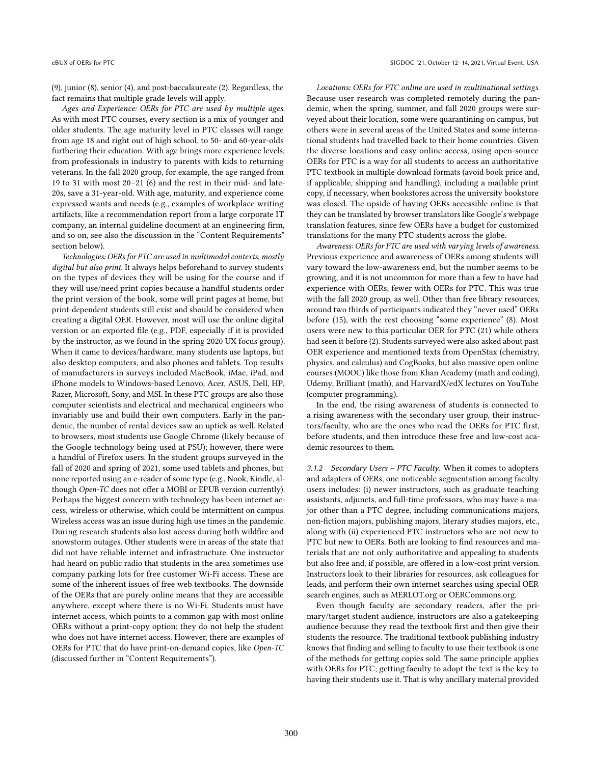(9), junior (8), senior (4), and post-baccalaureate (2). Regardless, the fact remains that multiple grade levels will apply.

Ages and Experience: OERs for PTC are used by multiple ages. As with most PTC courses, every section is a mix of younger and older students. The age maturity level in PTC classes will range from age 18 and right out of high school, to 50- and 60-year-olds furthering their education. With age brings more experience levels, from professionals in industry to parents with kids to returning veterans. In the fall 2020 group, for example, the age ranged from 19 to 31 with most 20–21 (6) and the rest in their mid- and late-20s, save a 31-year-old. With age, maturity, and experience come expressed wants and needs (e.g., examples of workplace writing artifacts, like a recommendation report from a large corporate IT company, an internal guideline document at an engineering firm, and so on, see also the discussion in the "Content Requirements" section below).

Technologies: OERs for PTC are used in multimodal contexts, mostly digital but also print. It always helps beforehand to survey students on the types of devices they will be using for the course and if they will use/need print copies because a handful students order the print version of the book, some will print pages at home, but print-dependent students still exist and should be considered when creating a digital OER. However, most will use the online digital version or an exported file (e.g., PDF, especially if it is provided by the instructor, as we found in the spring 2020 UX focus group). When it came to devices/hardware, many students use laptops, but also desktop computers, and also phones and tablets. Top results of manufacturers in surveys included MacBook, iMac, iPad, and iPhone models to Windows-based Lenovo, Acer, ASUS, Dell, HP, Razer, Microsoft, Sony, and MSI. In these PTC groups are also those computer scientists and electrical and mechanical engineers who invariably use and build their own computers. Early in the pandemic, the number of rental devices saw an uptick as well. Related to browsers, most students use Google Chrome (likely because of the Google technology being used at PSU); however, there were a handful of Firefox users. In the student groups surveyed in the fall of 2020 and spring of 2021, some used tablets and phones, but none reported using an e-reader of some type (e.g., Nook, Kindle, although Open-TC does not offer a MOBI or EPUB version currently). Perhaps the biggest concern with technology has been internet access, wireless or otherwise, which could be intermittent on campus. Wireless access was an issue during high use times in the pandemic. During research students also lost access during both wildfire and snowstorm outages. Other students were in areas of the state that did not have reliable internet and infrastructure. One instructor had heard on public radio that students in the area sometimes use company parking lots for free customer Wi-Fi access. These are some of the inherent issues of free web textbooks. The downside of the OERs that are purely online means that they are accessible anywhere, except where there is no Wi-Fi. Students must have internet access, which points to a common gap with most online OERs without a print-copy option; they do not help the student who does not have internet access. However, there are examples of OERs for PTC that do have print-on-demand copies, like Open-TC (discussed further in "Content Requirements").

Locations: OERs for PTC online are used in multinational settings. Because user research was completed remotely during the pandemic, when the spring, summer, and fall 2020 groups were surveyed about their location, some were quarantining on campus, but others were in several areas of the United States and some international students had travelled back to their home countries. Given the diverse locations and easy online access, using open-source OERs for PTC is a way for all students to access an authoritative PTC textbook in multiple download formats (avoid book price and, if applicable, shipping and handling), including a mailable print copy, if necessary, when bookstores across the university bookstore was closed. The upside of having OERs accessible online is that they can be translated by browser translators like Google's webpage translation features, since few OERs have a budget for customized translations for the many PTC students across the globe.

Awareness: OERs for PTC are used with varying levels of awareness. Previous experience and awareness of OERs among students will vary toward the low-awareness end, but the number seems to be growing, and it is not uncommon for more than a few to have had experience with OERs, fewer with OERs for PTC. This was true with the fall 2020 group, as well. Other than free library resources, around two thirds of participants indicated they "never used" OERs before (15), with the rest choosing "some experience" (8). Most users were new to this particular OER for PTC (21) while others had seen it before (2). Students surveyed were also asked about past OER experience and mentioned texts from OpenStax (chemistry, physics, and calculus) and CogBooks, but also massive open online courses (MOOC) like those from Khan Academy (math and coding), Udemy, Brilliant (math), and HarvardX/edX lectures on YouTube (computer programming).

In the end, the rising awareness of students is connected to a rising awareness with the secondary user group, their instructors/faculty, who are the ones who read the OERs for PTC first, before students, and then introduce these free and low-cost academic resources to them.

3.1.2 Secondary Users – PTC Faculty. When it comes to adopters and adapters of OERs, one noticeable segmentation among faculty users includes: (i) newer instructors, such as graduate teaching assistants, adjuncts, and full-time professors, who may have a major other than a PTC degree, including communications majors, non-fiction majors, publishing majors, literary studies majors, etc., along with (ii) experienced PTC instructors who are not new to PTC but new to OERs. Both are looking to find resources and materials that are not only authoritative and appealing to students but also free and, if possible, are offered in a low-cost print version. Instructors look to their libraries for resources, ask colleagues for leads, and perform their own internet searches using special OER search engines, such as MERLOT.org or OERCommons.org.

Even though faculty are secondary readers, after the primary/target student audience, instructors are also a gatekeeping audience because they read the textbook first and then give their students the resource. The traditional textbook publishing industry knows that finding and selling to faculty to use their textbook is one of the methods for getting copies sold. The same principle applies with OERs for PTC; getting faculty to adopt the text is the key to having their students use it. That is why ancillary material provided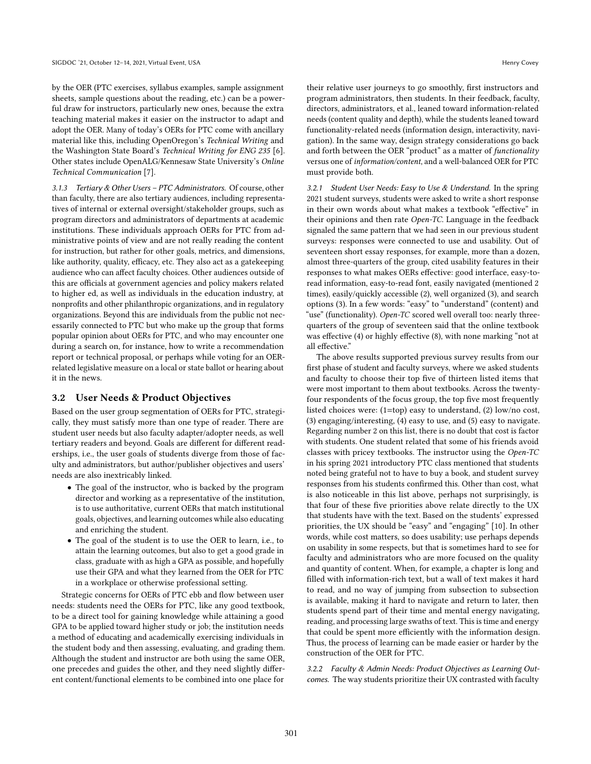by the OER (PTC exercises, syllabus examples, sample assignment sheets, sample questions about the reading, etc.) can be a powerful draw for instructors, particularly new ones, because the extra teaching material makes it easier on the instructor to adapt and adopt the OER. Many of today's OERs for PTC come with ancillary material like this, including OpenOregon's Technical Writing and the Washington State Board's Technical Writing for ENG 235 [\[6\]](#page-16-6). Other states include OpenALG/Kennesaw State University's Online Technical Communication [\[7\]](#page-16-7).

3.1.3 Tertiary & Other Users – PTC Administrators. Of course, other than faculty, there are also tertiary audiences, including representatives of internal or external oversight/stakeholder groups, such as program directors and administrators of departments at academic institutions. These individuals approach OERs for PTC from administrative points of view and are not really reading the content for instruction, but rather for other goals, metrics, and dimensions, like authority, quality, efficacy, etc. They also act as a gatekeeping audience who can affect faculty choices. Other audiences outside of this are officials at government agencies and policy makers related to higher ed, as well as individuals in the education industry, at nonprofits and other philanthropic organizations, and in regulatory organizations. Beyond this are individuals from the public not necessarily connected to PTC but who make up the group that forms popular opinion about OERs for PTC, and who may encounter one during a search on, for instance, how to write a recommendation report or technical proposal, or perhaps while voting for an OERrelated legislative measure on a local or state ballot or hearing about it in the news.

# 3.2 User Needs & Product Objectives

Based on the user group segmentation of OERs for PTC, strategically, they must satisfy more than one type of reader. There are student user needs but also faculty adapter/adopter needs, as well tertiary readers and beyond. Goals are different for different readerships, i.e., the user goals of students diverge from those of faculty and administrators, but author/publisher objectives and users' needs are also inextricably linked.

- The goal of the instructor, who is backed by the program director and working as a representative of the institution, is to use authoritative, current OERs that match institutional goals, objectives, and learning outcomes while also educating and enriching the student.
- The goal of the student is to use the OER to learn, i.e., to attain the learning outcomes, but also to get a good grade in class, graduate with as high a GPA as possible, and hopefully use their GPA and what they learned from the OER for PTC in a workplace or otherwise professional setting.

Strategic concerns for OERs of PTC ebb and flow between user needs: students need the OERs for PTC, like any good textbook, to be a direct tool for gaining knowledge while attaining a good GPA to be applied toward higher study or job; the institution needs a method of educating and academically exercising individuals in the student body and then assessing, evaluating, and grading them. Although the student and instructor are both using the same OER, one precedes and guides the other, and they need slightly different content/functional elements to be combined into one place for

their relative user journeys to go smoothly, first instructors and program administrators, then students. In their feedback, faculty, directors, administrators, et al., leaned toward information-related needs (content quality and depth), while the students leaned toward functionality-related needs (information design, interactivity, navigation). In the same way, design strategy considerations go back and forth between the OER "product" as a matter of functionality versus one of information/content, and a well-balanced OER for PTC must provide both.

3.2.1 Student User Needs: Easy to Use & Understand. In the spring 2021 student surveys, students were asked to write a short response in their own words about what makes a textbook "effective" in their opinions and then rate Open-TC. Language in the feedback signaled the same pattern that we had seen in our previous student surveys: responses were connected to use and usability. Out of seventeen short essay responses, for example, more than a dozen, almost three-quarters of the group, cited usability features in their responses to what makes OERs effective: good interface, easy-toread information, easy-to-read font, easily navigated (mentioned 2 times), easily/quickly accessible (2), well organized (3), and search options (3). In a few words: "easy" to "understand" (content) and "use" (functionality). *Open-TC* scored well overall too: nearly threequarters of the group of seventeen said that the online textbook was effective (4) or highly effective (8), with none marking "not at all effective."

The above results supported previous survey results from our first phase of student and faculty surveys, where we asked students and faculty to choose their top five of thirteen listed items that were most important to them about textbooks. Across the twentyfour respondents of the focus group, the top five most frequently listed choices were: (1=top) easy to understand, (2) low/no cost, (3) engaging/interesting, (4) easy to use, and (5) easy to navigate. Regarding number 2 on this list, there is no doubt that cost is factor with students. One student related that some of his friends avoid classes with pricey textbooks. The instructor using the Open-TC in his spring 2021 introductory PTC class mentioned that students noted being grateful not to have to buy a book, and student survey responses from his students confirmed this. Other than cost, what is also noticeable in this list above, perhaps not surprisingly, is that four of these five priorities above relate directly to the UX that students have with the text. Based on the students' expressed priorities, the UX should be "easy" and "engaging" [\[10\]](#page-16-10). In other words, while cost matters, so does usability; use perhaps depends on usability in some respects, but that is sometimes hard to see for faculty and administrators who are more focused on the quality and quantity of content. When, for example, a chapter is long and filled with information-rich text, but a wall of text makes it hard to read, and no way of jumping from subsection to subsection is available, making it hard to navigate and return to later, then students spend part of their time and mental energy navigating, reading, and processing large swaths of text. This is time and energy that could be spent more efficiently with the information design. Thus, the process of learning can be made easier or harder by the construction of the OER for PTC.

3.2.2 Faculty & Admin Needs: Product Objectives as Learning Outcomes. The way students prioritize their UX contrasted with faculty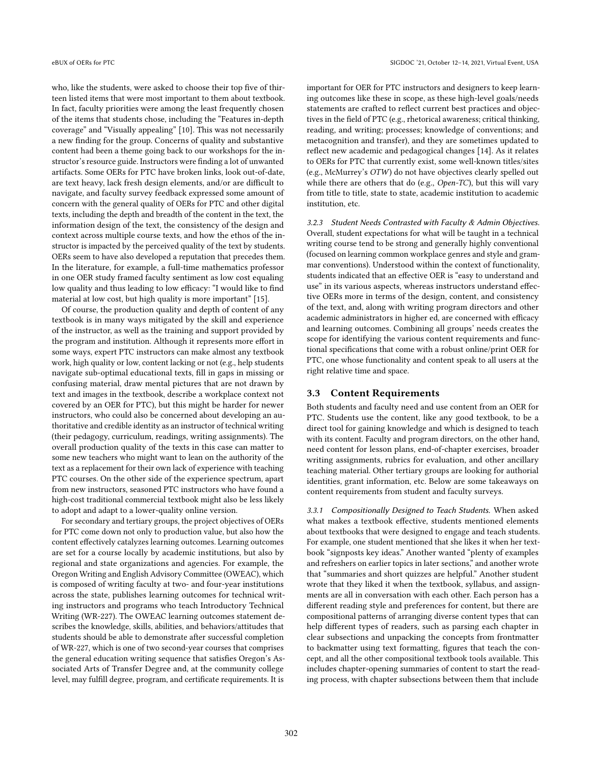who, like the students, were asked to choose their top five of thirteen listed items that were most important to them about textbook. In fact, faculty priorities were among the least frequently chosen of the items that students chose, including the "Features in-depth coverage" and "Visually appealing" [\[10\]](#page-16-10). This was not necessarily a new finding for the group. Concerns of quality and substantive content had been a theme going back to our workshops for the instructor's resource guide. Instructors were finding a lot of unwanted artifacts. Some OERs for PTC have broken links, look out-of-date, are text heavy, lack fresh design elements, and/or are difficult to navigate, and faculty survey feedback expressed some amount of concern with the general quality of OERs for PTC and other digital texts, including the depth and breadth of the content in the text, the information design of the text, the consistency of the design and context across multiple course texts, and how the ethos of the instructor is impacted by the perceived quality of the text by students. OERs seem to have also developed a reputation that precedes them. In the literature, for example, a full-time mathematics professor in one OER study framed faculty sentiment as low cost equaling low quality and thus leading to low efficacy: "I would like to find material at low cost, but high quality is more important" [\[15\]](#page-16-14).

Of course, the production quality and depth of content of any textbook is in many ways mitigated by the skill and experience of the instructor, as well as the training and support provided by the program and institution. Although it represents more effort in some ways, expert PTC instructors can make almost any textbook work, high quality or low, content lacking or not (e.g., help students navigate sub-optimal educational texts, fill in gaps in missing or confusing material, draw mental pictures that are not drawn by text and images in the textbook, describe a workplace context not covered by an OER for PTC), but this might be harder for newer instructors, who could also be concerned about developing an authoritative and credible identity as an instructor of technical writing (their pedagogy, curriculum, readings, writing assignments). The overall production quality of the texts in this case can matter to some new teachers who might want to lean on the authority of the text as a replacement for their own lack of experience with teaching PTC courses. On the other side of the experience spectrum, apart from new instructors, seasoned PTC instructors who have found a high-cost traditional commercial textbook might also be less likely to adopt and adapt to a lower-quality online version.

For secondary and tertiary groups, the project objectives of OERs for PTC come down not only to production value, but also how the content effectively catalyzes learning outcomes. Learning outcomes are set for a course locally by academic institutions, but also by regional and state organizations and agencies. For example, the Oregon Writing and English Advisory Committee (OWEAC), which is composed of writing faculty at two- and four-year institutions across the state, publishes learning outcomes for technical writing instructors and programs who teach Introductory Technical Writing (WR-227). The OWEAC learning outcomes statement describes the knowledge, skills, abilities, and behaviors/attitudes that students should be able to demonstrate after successful completion of WR-227, which is one of two second-year courses that comprises the general education writing sequence that satisfies Oregon's Associated Arts of Transfer Degree and, at the community college level, may fulfill degree, program, and certificate requirements. It is

important for OER for PTC instructors and designers to keep learning outcomes like these in scope, as these high-level goals/needs statements are crafted to reflect current best practices and objectives in the field of PTC (e.g., rhetorical awareness; critical thinking, reading, and writing; processes; knowledge of conventions; and metacognition and transfer), and they are sometimes updated to reflect new academic and pedagogical changes [\[14\]](#page-16-15). As it relates to OERs for PTC that currently exist, some well-known titles/sites (e.g., McMurrey's OTW) do not have objectives clearly spelled out while there are others that do (e.g., *Open-TC*), but this will vary from title to title, state to state, academic institution to academic institution, etc.

3.2.3 Student Needs Contrasted with Faculty & Admin Objectives. Overall, student expectations for what will be taught in a technical writing course tend to be strong and generally highly conventional (focused on learning common workplace genres and style and grammar conventions). Understood within the context of functionality, students indicated that an effective OER is "easy to understand and use" in its various aspects, whereas instructors understand effective OERs more in terms of the design, content, and consistency of the text, and, along with writing program directors and other academic administrators in higher ed, are concerned with efficacy and learning outcomes. Combining all groups' needs creates the scope for identifying the various content requirements and functional specifications that come with a robust online/print OER for PTC, one whose functionality and content speak to all users at the right relative time and space.

#### 3.3 Content Requirements

Both students and faculty need and use content from an OER for PTC. Students use the content, like any good textbook, to be a direct tool for gaining knowledge and which is designed to teach with its content. Faculty and program directors, on the other hand, need content for lesson plans, end-of-chapter exercises, broader writing assignments, rubrics for evaluation, and other ancillary teaching material. Other tertiary groups are looking for authorial identities, grant information, etc. Below are some takeaways on content requirements from student and faculty surveys.

3.3.1 Compositionally Designed to Teach Students. When asked what makes a textbook effective, students mentioned elements about textbooks that were designed to engage and teach students. For example, one student mentioned that she likes it when her textbook "signposts key ideas." Another wanted "plenty of examples and refreshers on earlier topics in later sections," and another wrote that "summaries and short quizzes are helpful." Another student wrote that they liked it when the textbook, syllabus, and assignments are all in conversation with each other. Each person has a different reading style and preferences for content, but there are compositional patterns of arranging diverse content types that can help different types of readers, such as parsing each chapter in clear subsections and unpacking the concepts from frontmatter to backmatter using text formatting, figures that teach the concept, and all the other compositional textbook tools available. This includes chapter-opening summaries of content to start the reading process, with chapter subsections between them that include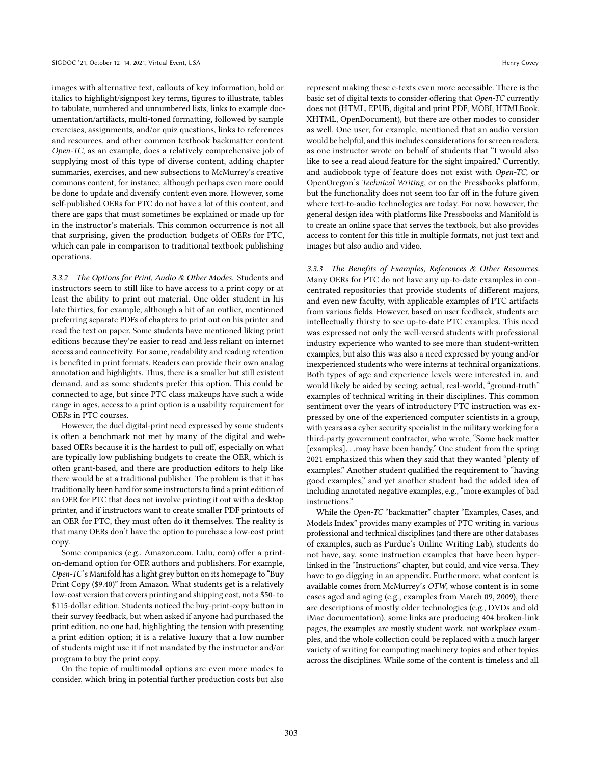images with alternative text, callouts of key information, bold or italics to highlight/signpost key terms, figures to illustrate, tables to tabulate, numbered and unnumbered lists, links to example documentation/artifacts, multi-toned formatting, followed by sample exercises, assignments, and/or quiz questions, links to references and resources, and other common textbook backmatter content. Open-TC, as an example, does a relatively comprehensive job of supplying most of this type of diverse content, adding chapter summaries, exercises, and new subsections to McMurrey's creative commons content, for instance, although perhaps even more could be done to update and diversify content even more. However, some self-published OERs for PTC do not have a lot of this content, and there are gaps that must sometimes be explained or made up for in the instructor's materials. This common occurrence is not all that surprising, given the production budgets of OERs for PTC, which can pale in comparison to traditional textbook publishing operations.

3.3.2 The Options for Print, Audio & Other Modes. Students and instructors seem to still like to have access to a print copy or at least the ability to print out material. One older student in his late thirties, for example, although a bit of an outlier, mentioned preferring separate PDFs of chapters to print out on his printer and read the text on paper. Some students have mentioned liking print editions because they're easier to read and less reliant on internet access and connectivity. For some, readability and reading retention is benefited in print formats. Readers can provide their own analog annotation and highlights. Thus, there is a smaller but still existent demand, and as some students prefer this option. This could be connected to age, but since PTC class makeups have such a wide range in ages, access to a print option is a usability requirement for OERs in PTC courses.

However, the duel digital-print need expressed by some students is often a benchmark not met by many of the digital and webbased OERs because it is the hardest to pull off, especially on what are typically low publishing budgets to create the OER, which is often grant-based, and there are production editors to help like there would be at a traditional publisher. The problem is that it has traditionally been hard for some instructors to find a print edition of an OER for PTC that does not involve printing it out with a desktop printer, and if instructors want to create smaller PDF printouts of an OER for PTC, they must often do it themselves. The reality is that many OERs don't have the option to purchase a low-cost print copy.

Some companies (e.g., Amazon.com, Lulu, com) offer a printon-demand option for OER authors and publishers. For example, Open-TC's Manifold has a light grey button on its homepage to "Buy Print Copy (\$9.40)" from Amazon. What students get is a relatively low-cost version that covers printing and shipping cost, not a \$50- to \$115-dollar edition. Students noticed the buy-print-copy button in their survey feedback, but when asked if anyone had purchased the print edition, no one had, highlighting the tension with presenting a print edition option; it is a relative luxury that a low number of students might use it if not mandated by the instructor and/or program to buy the print copy.

On the topic of multimodal options are even more modes to consider, which bring in potential further production costs but also represent making these e-texts even more accessible. There is the basic set of digital texts to consider offering that Open-TC currently does not (HTML, EPUB, digital and print PDF, MOBI, HTMLBook, XHTML, OpenDocument), but there are other modes to consider as well. One user, for example, mentioned that an audio version would be helpful, and this includes considerations for screen readers, as one instructor wrote on behalf of students that "I would also like to see a read aloud feature for the sight impaired." Currently, and audiobook type of feature does not exist with Open-TC, or OpenOregon's Technical Writing, or on the Pressbooks platform, but the functionality does not seem too far off in the future given where text-to-audio technologies are today. For now, however, the general design idea with platforms like Pressbooks and Manifold is to create an online space that serves the textbook, but also provides access to content for this title in multiple formats, not just text and images but also audio and video.

3.3.3 The Benefits of Examples, References & Other Resources. Many OERs for PTC do not have any up-to-date examples in concentrated repositories that provide students of different majors, and even new faculty, with applicable examples of PTC artifacts from various fields. However, based on user feedback, students are intellectually thirsty to see up-to-date PTC examples. This need was expressed not only the well-versed students with professional industry experience who wanted to see more than student-written examples, but also this was also a need expressed by young and/or inexperienced students who were interns at technical organizations. Both types of age and experience levels were interested in, and would likely be aided by seeing, actual, real-world, "ground-truth" examples of technical writing in their disciplines. This common sentiment over the years of introductory PTC instruction was expressed by one of the experienced computer scientists in a group, with years as a cyber security specialist in the military working for a third-party government contractor, who wrote, "Some back matter [examples]. . .may have been handy." One student from the spring 2021 emphasized this when they said that they wanted "plenty of examples." Another student qualified the requirement to "having good examples," and yet another student had the added idea of including annotated negative examples, e.g., "more examples of bad instructions."

While the Open-TC "backmatter" chapter "Examples, Cases, and Models Index" provides many examples of PTC writing in various professional and technical disciplines (and there are other databases of examples, such as Purdue's Online Writing Lab), students do not have, say, some instruction examples that have been hyperlinked in the "Instructions" chapter, but could, and vice versa. They have to go digging in an appendix. Furthermore, what content is available comes from McMurrey's OTW, whose content is in some cases aged and aging (e.g., examples from March 09, 2009), there are descriptions of mostly older technologies (e.g., DVDs and old iMac documentation), some links are producing 404 broken-link pages, the examples are mostly student work, not workplace examples, and the whole collection could be replaced with a much larger variety of writing for computing machinery topics and other topics across the disciplines. While some of the content is timeless and all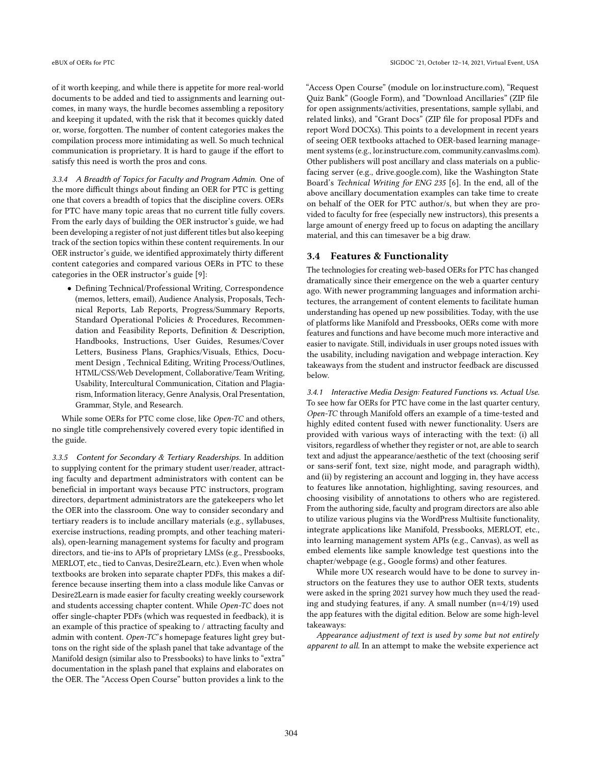of it worth keeping, and while there is appetite for more real-world documents to be added and tied to assignments and learning outcomes, in many ways, the hurdle becomes assembling a repository and keeping it updated, with the risk that it becomes quickly dated or, worse, forgotten. The number of content categories makes the compilation process more intimidating as well. So much technical communication is proprietary. It is hard to gauge if the effort to satisfy this need is worth the pros and cons.

3.3.4 A Breadth of Topics for Faculty and Program Admin. One of the more difficult things about finding an OER for PTC is getting one that covers a breadth of topics that the discipline covers. OERs for PTC have many topic areas that no current title fully covers. From the early days of building the OER instructor's guide, we had been developing a register of not just different titles but also keeping track of the section topics within these content requirements. In our OER instructor's guide, we identified approximately thirty different content categories and compared various OERs in PTC to these categories in the OER instructor's guide [\[9\]](#page-16-9):

• Defining Technical/Professional Writing, Correspondence (memos, letters, email), Audience Analysis, Proposals, Technical Reports, Lab Reports, Progress/Summary Reports, Standard Operational Policies & Procedures, Recommendation and Feasibility Reports, Definition & Description, Handbooks, Instructions, User Guides, Resumes/Cover Letters, Business Plans, Graphics/Visuals, Ethics, Document Design , Technical Editing, Writing Process/Outlines, HTML/CSS/Web Development, Collaborative/Team Writing, Usability, Intercultural Communication, Citation and Plagiarism, Information literacy, Genre Analysis, Oral Presentation, Grammar, Style, and Research.

While some OERs for PTC come close, like Open-TC and others, no single title comprehensively covered every topic identified in the guide.

3.3.5 Content for Secondary & Tertiary Readerships. In addition to supplying content for the primary student user/reader, attracting faculty and department administrators with content can be beneficial in important ways because PTC instructors, program directors, department administrators are the gatekeepers who let the OER into the classroom. One way to consider secondary and tertiary readers is to include ancillary materials (e.g., syllabuses, exercise instructions, reading prompts, and other teaching materials), open-learning management systems for faculty and program directors, and tie-ins to APIs of proprietary LMSs (e.g., Pressbooks, MERLOT, etc., tied to Canvas, Desire2Learn, etc.). Even when whole textbooks are broken into separate chapter PDFs, this makes a difference because inserting them into a class module like Canvas or Desire2Learn is made easier for faculty creating weekly coursework and students accessing chapter content. While Open-TC does not offer single-chapter PDFs (which was requested in feedback), it is an example of this practice of speaking to / attracting faculty and admin with content. Open-TC's homepage features light grey buttons on the right side of the splash panel that take advantage of the Manifold design (similar also to Pressbooks) to have links to "extra" documentation in the splash panel that explains and elaborates on the OER. The "Access Open Course" button provides a link to the

"Access Open Course" (module on lor.instructure.com), "Request Quiz Bank" (Google Form), and "Download Ancillaries" (ZIP file for open assignments/activities, presentations, sample syllabi, and related links), and "Grant Docs" (ZIP file for proposal PDFs and report Word DOCXs). This points to a development in recent years of seeing OER textbooks attached to OER-based learning management systems (e.g., lor.instructure.com, community.canvaslms.com). Other publishers will post ancillary and class materials on a publicfacing server (e.g., drive.google.com), like the Washington State Board's Technical Writing for ENG 235 [\[6\]](#page-16-6). In the end, all of the above ancillary documentation examples can take time to create on behalf of the OER for PTC author/s, but when they are provided to faculty for free (especially new instructors), this presents a large amount of energy freed up to focus on adapting the ancillary material, and this can timesaver be a big draw.

#### 3.4 Features & Functionality

The technologies for creating web-based OERs for PTC has changed dramatically since their emergence on the web a quarter century ago. With newer programming languages and information architectures, the arrangement of content elements to facilitate human understanding has opened up new possibilities. Today, with the use of platforms like Manifold and Pressbooks, OERs come with more features and functions and have become much more interactive and easier to navigate. Still, individuals in user groups noted issues with the usability, including navigation and webpage interaction. Key takeaways from the student and instructor feedback are discussed below.

3.4.1 Interactive Media Design: Featured Functions vs. Actual Use. To see how far OERs for PTC have come in the last quarter century, Open-TC through Manifold offers an example of a time-tested and highly edited content fused with newer functionality. Users are provided with various ways of interacting with the text: (i) all visitors, regardless of whether they register or not, are able to search text and adjust the appearance/aesthetic of the text (choosing serif or sans-serif font, text size, night mode, and paragraph width), and (ii) by registering an account and logging in, they have access to features like annotation, highlighting, saving resources, and choosing visibility of annotations to others who are registered. From the authoring side, faculty and program directors are also able to utilize various plugins via the WordPress Multisite functionality, integrate applications like Manifold, Pressbooks, MERLOT, etc., into learning management system APIs (e.g., Canvas), as well as embed elements like sample knowledge test questions into the chapter/webpage (e.g., Google forms) and other features.

While more UX research would have to be done to survey instructors on the features they use to author OER texts, students were asked in the spring 2021 survey how much they used the reading and studying features, if any. A small number (n=4/19) used the app features with the digital edition. Below are some high-level takeaways:

Appearance adjustment of text is used by some but not entirely apparent to all. In an attempt to make the website experience act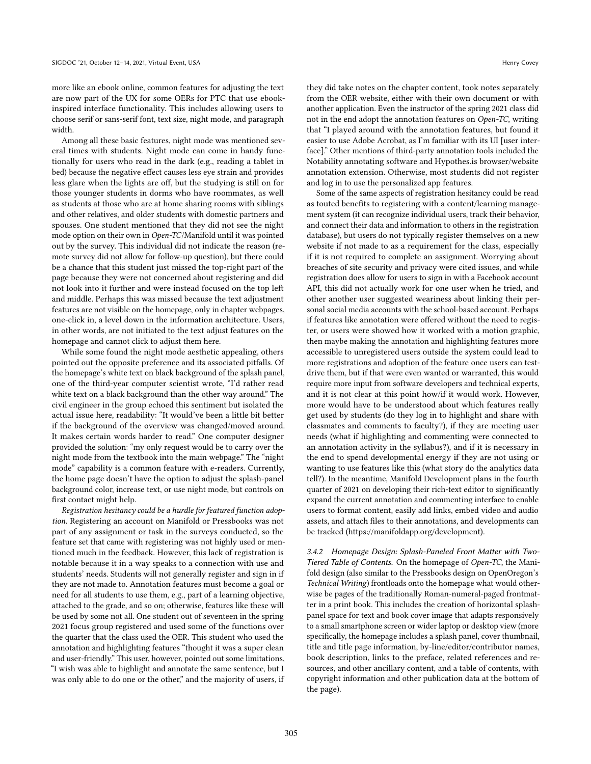more like an ebook online, common features for adjusting the text are now part of the UX for some OERs for PTC that use ebookinspired interface functionality. This includes allowing users to choose serif or sans-serif font, text size, night mode, and paragraph width.

Among all these basic features, night mode was mentioned several times with students. Night mode can come in handy functionally for users who read in the dark (e.g., reading a tablet in bed) because the negative effect causes less eye strain and provides less glare when the lights are off, but the studying is still on for those younger students in dorms who have roommates, as well as students at those who are at home sharing rooms with siblings and other relatives, and older students with domestic partners and spouses. One student mentioned that they did not see the night mode option on their own in Open-TC/Manifold until it was pointed out by the survey. This individual did not indicate the reason (remote survey did not allow for follow-up question), but there could be a chance that this student just missed the top-right part of the page because they were not concerned about registering and did not look into it further and were instead focused on the top left and middle. Perhaps this was missed because the text adjustment features are not visible on the homepage, only in chapter webpages, one-click in, a level down in the information architecture. Users, in other words, are not initiated to the text adjust features on the homepage and cannot click to adjust them here.

While some found the night mode aesthetic appealing, others pointed out the opposite preference and its associated pitfalls. Of the homepage's white text on black background of the splash panel, one of the third-year computer scientist wrote, "I'd rather read white text on a black background than the other way around." The civil engineer in the group echoed this sentiment but isolated the actual issue here, readability: "It would've been a little bit better if the background of the overview was changed/moved around. It makes certain words harder to read." One computer designer provided the solution: "my only request would be to carry over the night mode from the textbook into the main webpage." The "night mode" capability is a common feature with e-readers. Currently, the home page doesn't have the option to adjust the splash-panel background color, increase text, or use night mode, but controls on first contact might help.

Registration hesitancy could be a hurdle for featured function adoption. Registering an account on Manifold or Pressbooks was not part of any assignment or task in the surveys conducted, so the feature set that came with registering was not highly used or mentioned much in the feedback. However, this lack of registration is notable because it in a way speaks to a connection with use and students' needs. Students will not generally register and sign in if they are not made to. Annotation features must become a goal or need for all students to use them, e.g., part of a learning objective, attached to the grade, and so on; otherwise, features like these will be used by some not all. One student out of seventeen in the spring 2021 focus group registered and used some of the functions over the quarter that the class used the OER. This student who used the annotation and highlighting features "thought it was a super clean and user-friendly." This user, however, pointed out some limitations, "I wish was able to highlight and annotate the same sentence, but I was only able to do one or the other," and the majority of users, if

they did take notes on the chapter content, took notes separately from the OER website, either with their own document or with another application. Even the instructor of the spring 2021 class did not in the end adopt the annotation features on Open-TC, writing that "I played around with the annotation features, but found it easier to use Adobe Acrobat, as I'm familiar with its UI [user interface]." Other mentions of third-party annotation tools included the Notability annotating software and Hypothes.is browser/website annotation extension. Otherwise, most students did not register and log in to use the personalized app features.

Some of the same aspects of registration hesitancy could be read as touted benefits to registering with a content/learning management system (it can recognize individual users, track their behavior, and connect their data and information to others in the registration database), but users do not typically register themselves on a new website if not made to as a requirement for the class, especially if it is not required to complete an assignment. Worrying about breaches of site security and privacy were cited issues, and while registration does allow for users to sign in with a Facebook account API, this did not actually work for one user when he tried, and other another user suggested weariness about linking their personal social media accounts with the school-based account. Perhaps if features like annotation were offered without the need to register, or users were showed how it worked with a motion graphic, then maybe making the annotation and highlighting features more accessible to unregistered users outside the system could lead to more registrations and adoption of the feature once users can testdrive them, but if that were even wanted or warranted, this would require more input from software developers and technical experts, and it is not clear at this point how/if it would work. However, more would have to be understood about which features really get used by students (do they log in to highlight and share with classmates and comments to faculty?), if they are meeting user needs (what if highlighting and commenting were connected to an annotation activity in the syllabus?), and if it is necessary in the end to spend developmental energy if they are not using or wanting to use features like this (what story do the analytics data tell?). In the meantime, Manifold Development plans in the fourth quarter of 2021 on developing their rich-text editor to significantly expand the current annotation and commenting interface to enable users to format content, easily add links, embed video and audio assets, and attach files to their annotations, and developments can be tracked [\(https://manifoldapp.org/development\).](https://manifoldapp.org/development))

3.4.2 Homepage Design: Splash-Paneled Front Matter with Two-Tiered Table of Contents. On the homepage of Open-TC, the Manifold design (also similar to the Pressbooks design on OpenOregon's Technical Writing) frontloads onto the homepage what would otherwise be pages of the traditionally Roman-numeral-paged frontmatter in a print book. This includes the creation of horizontal splashpanel space for text and book cover image that adapts responsively to a small smartphone screen or wider laptop or desktop view (more specifically, the homepage includes a splash panel, cover thumbnail, title and title page information, by-line/editor/contributor names, book description, links to the preface, related references and resources, and other ancillary content, and a table of contents, with copyright information and other publication data at the bottom of the page).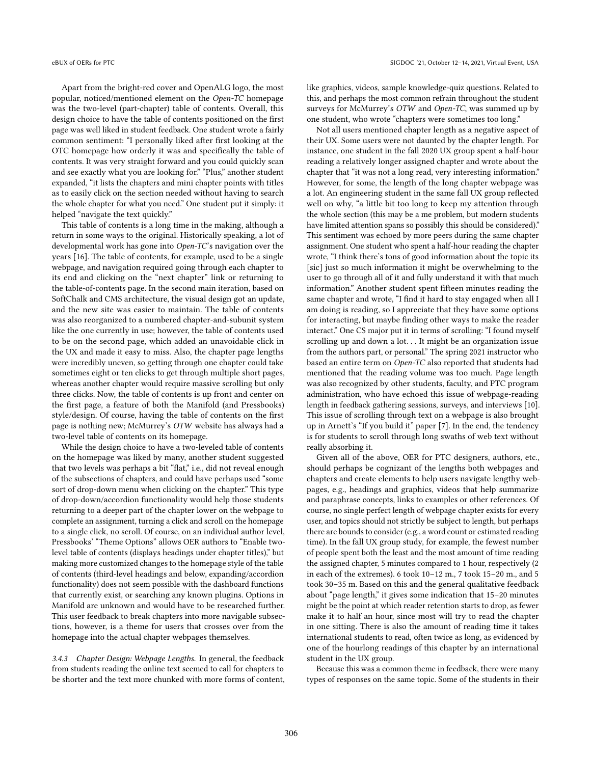Apart from the bright-red cover and OpenALG logo, the most popular, noticed/mentioned element on the Open-TC homepage was the two-level (part-chapter) table of contents. Overall, this design choice to have the table of contents positioned on the first page was well liked in student feedback. One student wrote a fairly common sentiment: "I personally liked after first looking at the OTC homepage how orderly it was and specifically the table of contents. It was very straight forward and you could quickly scan and see exactly what you are looking for." "Plus," another student expanded, "it lists the chapters and mini chapter points with titles as to easily click on the section needed without having to search the whole chapter for what you need." One student put it simply: it helped "navigate the text quickly."

This table of contents is a long time in the making, although a return in some ways to the original. Historically speaking, a lot of developmental work has gone into Open-TC's navigation over the years [\[16\]](#page-16-16). The table of contents, for example, used to be a single webpage, and navigation required going through each chapter to its end and clicking on the "next chapter" link or returning to the table-of-contents page. In the second main iteration, based on SoftChalk and CMS architecture, the visual design got an update, and the new site was easier to maintain. The table of contents was also reorganized to a numbered chapter-and-subunit system like the one currently in use; however, the table of contents used to be on the second page, which added an unavoidable click in the UX and made it easy to miss. Also, the chapter page lengths were incredibly uneven, so getting through one chapter could take sometimes eight or ten clicks to get through multiple short pages, whereas another chapter would require massive scrolling but only three clicks. Now, the table of contents is up front and center on the first page, a feature of both the Manifold (and Pressbooks) style/design. Of course, having the table of contents on the first page is nothing new; McMurrey's OTW website has always had a two-level table of contents on its homepage.

While the design choice to have a two-leveled table of contents on the homepage was liked by many, another student suggested that two levels was perhaps a bit "flat," i.e., did not reveal enough of the subsections of chapters, and could have perhaps used "some sort of drop-down menu when clicking on the chapter." This type of drop-down/accordion functionality would help those students returning to a deeper part of the chapter lower on the webpage to complete an assignment, turning a click and scroll on the homepage to a single click, no scroll. Of course, on an individual author level, Pressbooks' "Theme Options" allows OER authors to "Enable twolevel table of contents (displays headings under chapter titles)," but making more customized changes to the homepage style of the table of contents (third-level headings and below, expanding/accordion functionality) does not seem possible with the dashboard functions that currently exist, or searching any known plugins. Options in Manifold are unknown and would have to be researched further. This user feedback to break chapters into more navigable subsections, however, is a theme for users that crosses over from the homepage into the actual chapter webpages themselves.

3.4.3 Chapter Design: Webpage Lengths. In general, the feedback from students reading the online text seemed to call for chapters to be shorter and the text more chunked with more forms of content, like graphics, videos, sample knowledge-quiz questions. Related to this, and perhaps the most common refrain throughout the student surveys for McMurrey's OTW and Open-TC, was summed up by one student, who wrote "chapters were sometimes too long."

Not all users mentioned chapter length as a negative aspect of their UX. Some users were not daunted by the chapter length. For instance, one student in the fall 2020 UX group spent a half-hour reading a relatively longer assigned chapter and wrote about the chapter that "it was not a long read, very interesting information." However, for some, the length of the long chapter webpage was a lot. An engineering student in the same fall UX group reflected well on why, "a little bit too long to keep my attention through the whole section (this may be a me problem, but modern students have limited attention spans so possibly this should be considered)." This sentiment was echoed by more peers during the same chapter assignment. One student who spent a half-hour reading the chapter wrote, "I think there's tons of good information about the topic its [sic] just so much information it might be overwhelming to the user to go through all of it and fully understand it with that much information." Another student spent fifteen minutes reading the same chapter and wrote, "I find it hard to stay engaged when all I am doing is reading, so I appreciate that they have some options for interacting, but maybe finding other ways to make the reader interact." One CS major put it in terms of scrolling: "I found myself scrolling up and down a lot. . . It might be an organization issue from the authors part, or personal." The spring 2021 instructor who based an entire term on Open-TC also reported that students had mentioned that the reading volume was too much. Page length was also recognized by other students, faculty, and PTC program administration, who have echoed this issue of webpage-reading length in feedback gathering sessions, surveys, and interviews [\[10\]](#page-16-10). This issue of scrolling through text on a webpage is also brought up in Arnett's "If you build it" paper [\[7\]](#page-16-7). In the end, the tendency is for students to scroll through long swaths of web text without really absorbing it.

Given all of the above, OER for PTC designers, authors, etc., should perhaps be cognizant of the lengths both webpages and chapters and create elements to help users navigate lengthy webpages, e.g., headings and graphics, videos that help summarize and paraphrase concepts, links to examples or other references. Of course, no single perfect length of webpage chapter exists for every user, and topics should not strictly be subject to length, but perhaps there are bounds to consider (e.g., a word count or estimated reading time). In the fall UX group study, for example, the fewest number of people spent both the least and the most amount of time reading the assigned chapter, 5 minutes compared to 1 hour, respectively (2 in each of the extremes). 6 took 10–12 m., 7 took 15–20 m., and 5 took 30–35 m. Based on this and the general qualitative feedback about "page length," it gives some indication that 15–20 minutes might be the point at which reader retention starts to drop, as fewer make it to half an hour, since most will try to read the chapter in one sitting. There is also the amount of reading time it takes international students to read, often twice as long, as evidenced by one of the hourlong readings of this chapter by an international student in the UX group.

Because this was a common theme in feedback, there were many types of responses on the same topic. Some of the students in their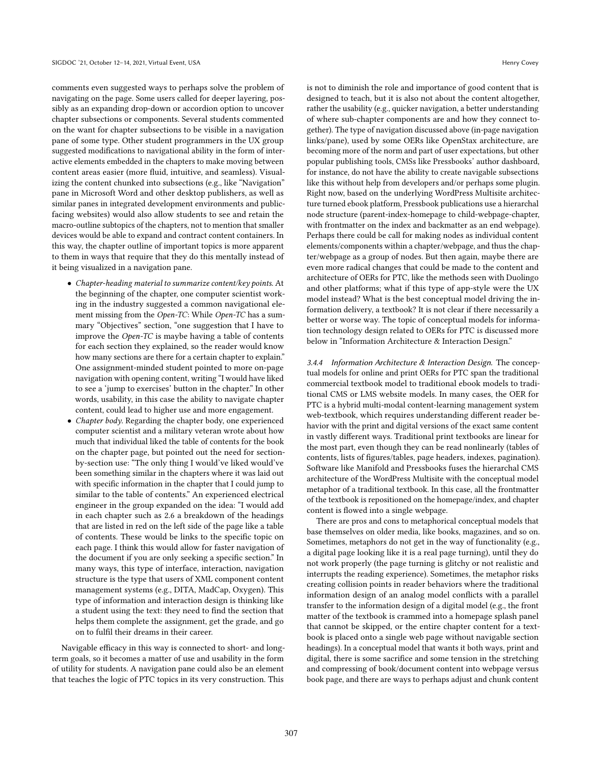comments even suggested ways to perhaps solve the problem of navigating on the page. Some users called for deeper layering, possibly as an expanding drop-down or accordion option to uncover chapter subsections or components. Several students commented on the want for chapter subsections to be visible in a navigation pane of some type. Other student programmers in the UX group suggested modifications to navigational ability in the form of interactive elements embedded in the chapters to make moving between content areas easier (more fluid, intuitive, and seamless). Visualizing the content chunked into subsections (e.g., like "Navigation" pane in Microsoft Word and other desktop publishers, as well as similar panes in integrated development environments and publicfacing websites) would also allow students to see and retain the macro-outline subtopics of the chapters, not to mention that smaller devices would be able to expand and contract content containers. In this way, the chapter outline of important topics is more apparent to them in ways that require that they do this mentally instead of it being visualized in a navigation pane.

- Chapter-heading material to summarize content/key points. At the beginning of the chapter, one computer scientist working in the industry suggested a common navigational element missing from the Open-TC: While Open-TC has a summary "Objectives" section, "one suggestion that I have to improve the Open-TC is maybe having a table of contents for each section they explained, so the reader would know how many sections are there for a certain chapter to explain." One assignment-minded student pointed to more on-page navigation with opening content, writing "I would have liked to see a 'jump to exercises' button in the chapter." In other words, usability, in this case the ability to navigate chapter content, could lead to higher use and more engagement.
- *Chapter body*. Regarding the chapter body, one experienced computer scientist and a military veteran wrote about how much that individual liked the table of contents for the book on the chapter page, but pointed out the need for sectionby-section use: "The only thing I would've liked would've been something similar in the chapters where it was laid out with specific information in the chapter that I could jump to similar to the table of contents." An experienced electrical engineer in the group expanded on the idea: "I would add in each chapter such as 2.6 a breakdown of the headings that are listed in red on the left side of the page like a table of contents. These would be links to the specific topic on each page. I think this would allow for faster navigation of the document if you are only seeking a specific section." In many ways, this type of interface, interaction, navigation structure is the type that users of XML component content management systems (e.g., DITA, MadCap, Oxygen). This type of information and interaction design is thinking like a student using the text: they need to find the section that helps them complete the assignment, get the grade, and go on to fulfil their dreams in their career.

Navigable efficacy in this way is connected to short- and longterm goals, so it becomes a matter of use and usability in the form of utility for students. A navigation pane could also be an element that teaches the logic of PTC topics in its very construction. This

is not to diminish the role and importance of good content that is designed to teach, but it is also not about the content altogether, rather the usability (e.g., quicker navigation, a better understanding of where sub-chapter components are and how they connect together). The type of navigation discussed above (in-page navigation links/pane), used by some OERs like OpenStax architecture, are becoming more of the norm and part of user expectations, but other popular publishing tools, CMSs like Pressbooks' author dashboard, for instance, do not have the ability to create navigable subsections like this without help from developers and/or perhaps some plugin. Right now, based on the underlying WordPress Multisite architecture turned ebook platform, Pressbook publications use a hierarchal node structure (parent-index-homepage to child-webpage-chapter, with frontmatter on the index and backmatter as an end webpage). Perhaps there could be call for making nodes as individual content elements/components within a chapter/webpage, and thus the chapter/webpage as a group of nodes. But then again, maybe there are even more radical changes that could be made to the content and architecture of OERs for PTC, like the methods seen with Duolingo and other platforms; what if this type of app-style were the UX model instead? What is the best conceptual model driving the information delivery, a textbook? It is not clear if there necessarily a better or worse way. The topic of conceptual models for information technology design related to OERs for PTC is discussed more below in "Information Architecture & Interaction Design."

3.4.4 Information Architecture & Interaction Design. The conceptual models for online and print OERs for PTC span the traditional commercial textbook model to traditional ebook models to traditional CMS or LMS website models. In many cases, the OER for PTC is a hybrid multi-modal content-learning management system web-textbook, which requires understanding different reader behavior with the print and digital versions of the exact same content in vastly different ways. Traditional print textbooks are linear for the most part, even though they can be read nonlinearly (tables of contents, lists of figures/tables, page headers, indexes, pagination). Software like Manifold and Pressbooks fuses the hierarchal CMS architecture of the WordPress Multisite with the conceptual model metaphor of a traditional textbook. In this case, all the frontmatter of the textbook is repositioned on the homepage/index, and chapter content is flowed into a single webpage.

There are pros and cons to metaphorical conceptual models that base themselves on older media, like books, magazines, and so on. Sometimes, metaphors do not get in the way of functionality (e.g., a digital page looking like it is a real page turning), until they do not work properly (the page turning is glitchy or not realistic and interrupts the reading experience). Sometimes, the metaphor risks creating collision points in reader behaviors where the traditional information design of an analog model conflicts with a parallel transfer to the information design of a digital model (e.g., the front matter of the textbook is crammed into a homepage splash panel that cannot be skipped, or the entire chapter content for a textbook is placed onto a single web page without navigable section headings). In a conceptual model that wants it both ways, print and digital, there is some sacrifice and some tension in the stretching and compressing of book/document content into webpage versus book page, and there are ways to perhaps adjust and chunk content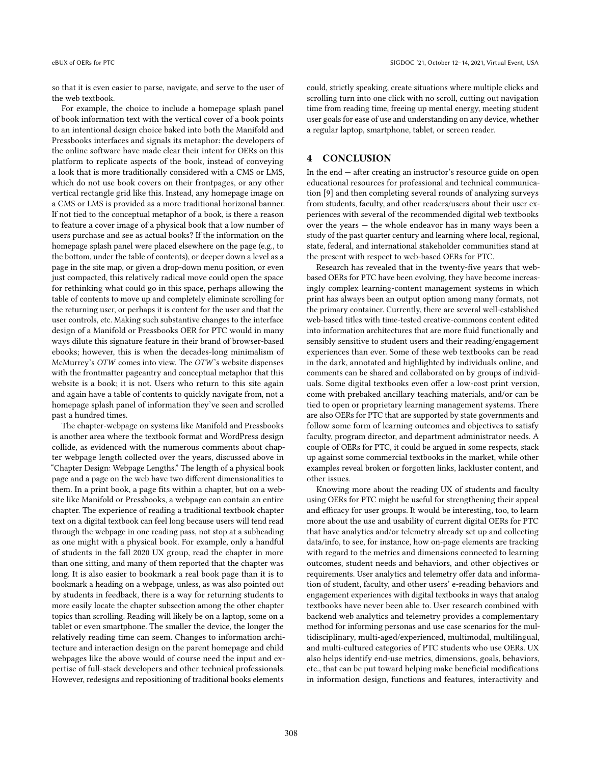so that it is even easier to parse, navigate, and serve to the user of the web textbook.

For example, the choice to include a homepage splash panel of book information text with the vertical cover of a book points to an intentional design choice baked into both the Manifold and Pressbooks interfaces and signals its metaphor: the developers of the online software have made clear their intent for OERs on this platform to replicate aspects of the book, instead of conveying a look that is more traditionally considered with a CMS or LMS, which do not use book covers on their frontpages, or any other vertical rectangle grid like this. Instead, any homepage image on a CMS or LMS is provided as a more traditional horizonal banner. If not tied to the conceptual metaphor of a book, is there a reason to feature a cover image of a physical book that a low number of users purchase and see as actual books? If the information on the homepage splash panel were placed elsewhere on the page (e.g., to the bottom, under the table of contents), or deeper down a level as a page in the site map, or given a drop-down menu position, or even just compacted, this relatively radical move could open the space for rethinking what could go in this space, perhaps allowing the table of contents to move up and completely eliminate scrolling for the returning user, or perhaps it is content for the user and that the user controls, etc. Making such substantive changes to the interface design of a Manifold or Pressbooks OER for PTC would in many ways dilute this signature feature in their brand of browser-based ebooks; however, this is when the decades-long minimalism of McMurrey's OTW comes into view. The OTW's website dispenses with the frontmatter pageantry and conceptual metaphor that this website is a book; it is not. Users who return to this site again and again have a table of contents to quickly navigate from, not a homepage splash panel of information they've seen and scrolled past a hundred times.

The chapter-webpage on systems like Manifold and Pressbooks is another area where the textbook format and WordPress design collide, as evidenced with the numerous comments about chapter webpage length collected over the years, discussed above in "Chapter Design: Webpage Lengths." The length of a physical book page and a page on the web have two different dimensionalities to them. In a print book, a page fits within a chapter, but on a website like Manifold or Pressbooks, a webpage can contain an entire chapter. The experience of reading a traditional textbook chapter text on a digital textbook can feel long because users will tend read through the webpage in one reading pass, not stop at a subheading as one might with a physical book. For example, only a handful of students in the fall 2020 UX group, read the chapter in more than one sitting, and many of them reported that the chapter was long. It is also easier to bookmark a real book page than it is to bookmark a heading on a webpage, unless, as was also pointed out by students in feedback, there is a way for returning students to more easily locate the chapter subsection among the other chapter topics than scrolling. Reading will likely be on a laptop, some on a tablet or even smartphone. The smaller the device, the longer the relatively reading time can seem. Changes to information architecture and interaction design on the parent homepage and child webpages like the above would of course need the input and expertise of full-stack developers and other technical professionals. However, redesigns and repositioning of traditional books elements

could, strictly speaking, create situations where multiple clicks and scrolling turn into one click with no scroll, cutting out navigation time from reading time, freeing up mental energy, meeting student user goals for ease of use and understanding on any device, whether a regular laptop, smartphone, tablet, or screen reader.

# 4 CONCLUSION

In the end — after creating an instructor's resource guide on open educational resources for professional and technical communication [\[9\]](#page-16-9) and then completing several rounds of analyzing surveys from students, faculty, and other readers/users about their user experiences with several of the recommended digital web textbooks over the years — the whole endeavor has in many ways been a study of the past quarter century and learning where local, regional, state, federal, and international stakeholder communities stand at the present with respect to web-based OERs for PTC.

Research has revealed that in the twenty-five years that webbased OERs for PTC have been evolving, they have become increasingly complex learning-content management systems in which print has always been an output option among many formats, not the primary container. Currently, there are several well-established web-based titles with time-tested creative-commons content edited into information architectures that are more fluid functionally and sensibly sensitive to student users and their reading/engagement experiences than ever. Some of these web textbooks can be read in the dark, annotated and highlighted by individuals online, and comments can be shared and collaborated on by groups of individuals. Some digital textbooks even offer a low-cost print version, come with prebaked ancillary teaching materials, and/or can be tied to open or proprietary learning management systems. There are also OERs for PTC that are supported by state governments and follow some form of learning outcomes and objectives to satisfy faculty, program director, and department administrator needs. A couple of OERs for PTC, it could be argued in some respects, stack up against some commercial textbooks in the market, while other examples reveal broken or forgotten links, lackluster content, and other issues.

Knowing more about the reading UX of students and faculty using OERs for PTC might be useful for strengthening their appeal and efficacy for user groups. It would be interesting, too, to learn more about the use and usability of current digital OERs for PTC that have analytics and/or telemetry already set up and collecting data/info, to see, for instance, how on-page elements are tracking with regard to the metrics and dimensions connected to learning outcomes, student needs and behaviors, and other objectives or requirements. User analytics and telemetry offer data and information of student, faculty, and other users' e-reading behaviors and engagement experiences with digital textbooks in ways that analog textbooks have never been able to. User research combined with backend web analytics and telemetry provides a complementary method for informing personas and use case scenarios for the multidisciplinary, multi-aged/experienced, multimodal, multilingual, and multi-cultured categories of PTC students who use OERs. UX also helps identify end-use metrics, dimensions, goals, behaviors, etc., that can be put toward helping make beneficial modifications in information design, functions and features, interactivity and